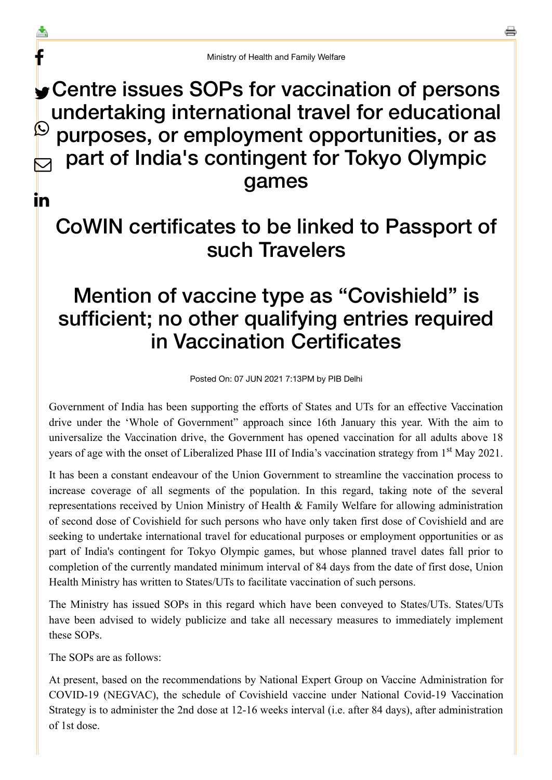## Centre issues SOPs for vaccination of persons undertaking international travel for educational purposes, or employment opportunities, or as part of India's contingent for Tokyo Olympic games  $\bigcirc$  $\bm{\nabla}$

in

f

스

## CoWIN certificates to be linked to Passport of such Travelers

## Mention of vaccine type as "Covishield" is sufficient; no other qualifying entries required in Vaccination Certificates

Posted On: 07 JUN 2021 7:13PM by PIB Delhi

Government of India has been supporting the efforts of States and UTs for an effective Vaccination drive under the 'Whole of Government" approach since 16th January this year. With the aim to universalize the Vaccination drive, the Government has opened vaccination for all adults above 18 years of age with the onset of Liberalized Phase III of India's vaccination strategy from 1<sup>st</sup> May 2021.

It has been a constant endeavour of the Union Government to streamline the vaccination process to increase coverage of all segments of the population. In this regard, taking note of the several representations received by Union Ministry of Health & Family Welfare for allowing administration of second dose of Covishield for such persons who have only taken first dose of Covishield and are seeking to undertake international travel for educational purposes or employment opportunities or as part of India's contingent for Tokyo Olympic games, but whose planned travel dates fall prior to completion of the currently mandated minimum interval of 84 days from the date of first dose, Union Health Ministry has written to States/UTs to facilitate vaccination of such persons.

The Ministry has issued SOPs in this regard which have been conveyed to States/UTs. States/UTs have been advised to widely publicize and take all necessary measures to immediately implement these SOPs.

The SOPs are as follows:

At present, based on the recommendations by National Expert Group on Vaccine Administration for COVID-19 (NEGVAC), the schedule of Covishield vaccine under National Covid-19 Vaccination Strategy is to administer the 2nd dose at 12-16 weeks interval (i.e. after 84 days), after administration of 1st dose.

a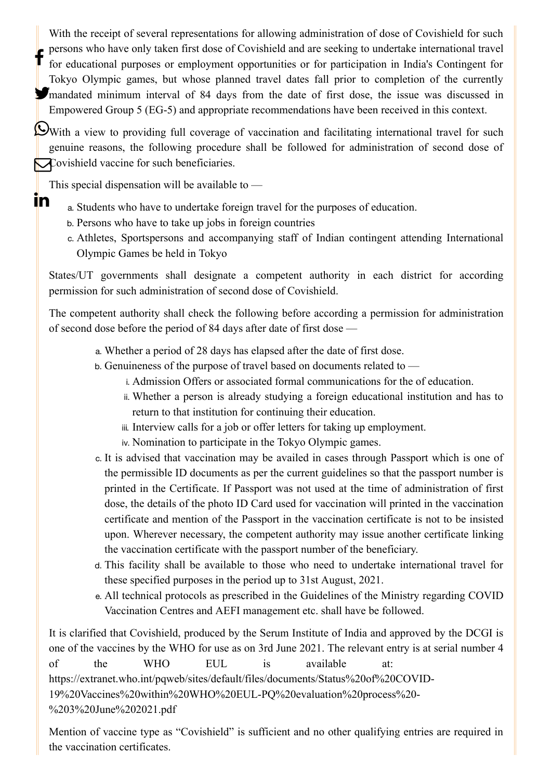With the receipt of several representations for allowing administration of dose of Covishield for such **persons who have only taken first dose of Covishield and are seeking to undertake international travel<br>for educational nuroses or employment opportunities or for participation in India's Continuent for** for educational purposes or employment opportunities or for participation in India's Contingent for Tokyo Olympic games, but whose planned travel dates fall prior to completion of the currently mandated minimum interval of 84 days from the date of first dose, the issue was discussed in Empowered Group 5 (EG-5) and appropriate recommendations have been received in this context.

With a view to providing full coverage of vaccination and facilitating international travel for such genuine reasons, the following procedure shall be followed for administration of second dose of Covishield vaccine for such beneficiaries.

This special dispensation will be available to  $-$ 

<u>in</u>

- a. Students who have to undertake foreign travel for the purposes of education.
- b. Persons who have to take up jobs in foreign countries
- c. Athletes, Sportspersons and accompanying staff of Indian contingent attending International Olympic Games be held in Tokyo

States/UT governments shall designate a competent authority in each district for according permission for such administration of second dose of Covishield.

The competent authority shall check the following before according a permission for administration of second dose before the period of 84 days after date of first dose —

- a. Whether a period of 28 days has elapsed after the date of first dose.
- b. Genuineness of the purpose of travel based on documents related to
	- i. Admission Offers or associated formal communications for the of education.
	- ii. Whether a person is already studying a foreign educational institution and has to return to that institution for continuing their education.
	- iii. Interview calls for a job or offer letters for taking up employment.
	- iv. Nomination to participate in the Tokyo Olympic games.
- c. It is advised that vaccination may be availed in cases through Passport which is one of the permissible ID documents as per the current guidelines so that the passport number is printed in the Certificate. If Passport was not used at the time of administration of first dose, the details of the photo ID Card used for vaccination will printed in the vaccination certificate and mention of the Passport in the vaccination certificate is not to be insisted upon. Wherever necessary, the competent authority may issue another certificate linking the vaccination certificate with the passport number of the beneficiary.
- d. This facility shall be available to those who need to undertake international travel for these specified purposes in the period up to 31st August, 2021.
- e. All technical protocols as prescribed in the Guidelines of the Ministry regarding COVID Vaccination Centres and AEFI management etc. shall have be followed.

It is clarified that Covishield, produced by the Serum Institute of India and approved by the DCGI is one of the vaccines by the WHO for use as on 3rd June 2021. The relevant entry is at serial number 4 of the WHO EUL is available at: [https://extranet.who.int/pqweb/sites/default/files/documents/Status%20of%20COVID-](https://extranet.who.int/pqweb/sites/default/files/documents/Status%20of%20COVID-19%20Vaccines%20within%20WHO%20EUL-PQ%20evaluation%20process%20-%203%20June%202021.pdf)19%20Vaccines%20within%20WHO%20EUL-PQ%20evaluation%20process%20- %203%20June%202021.pdf

Mention of vaccine type as "Covishield" is sufficient and no other qualifying entries are required in the vaccination certificates.